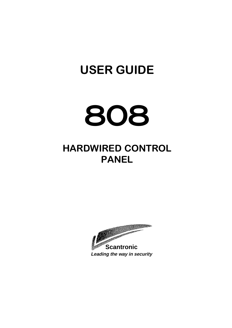# **USER GUIDE**



# **HARDWIRED CONTROL PANEL**

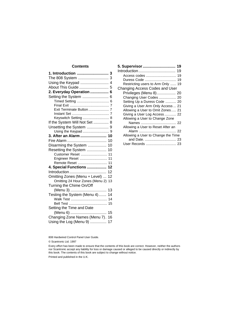# **Contents**

| 1. Introduction  3               |    |
|----------------------------------|----|
| The 808 System  3                |    |
|                                  |    |
| About This Guide  5              |    |
| 2. Everyday Operation  6         |    |
| Setting the System  6            |    |
|                                  |    |
|                                  |    |
| Exit Terminate Button  7         |    |
|                                  |    |
| Keyswitch Setting  8             |    |
| If the System Will Not Set  8    |    |
| Unsetting the System  9          |    |
|                                  |    |
| 3. After an Alarm  10            |    |
|                                  |    |
| Disarming the System  10         |    |
| Resetting the System  10         |    |
| Customer Reset  11               |    |
| Engineer Reset  11               |    |
| Remote Reset  11                 |    |
| 4. Special Functions  12         |    |
| Introduction                     | 12 |
| Omitting Zones (Menu + Level)    | 12 |
| Omitting 24 Hour Zones (Menu 2)  | 13 |
| Turning the Chime On/Off         |    |
| (Menu 3)                         | 13 |
| Testing the System (Menu 4)      | 14 |
|                                  |    |
|                                  | 15 |
| Setting the Time and Date        |    |
|                                  |    |
| Changing Zone Names (Menu 7). 16 |    |
| Using the Log (Menu 9)  17       |    |

| 5. Supervisor  19                  |  |
|------------------------------------|--|
|                                    |  |
|                                    |  |
| Duress Code  19                    |  |
| Restricting users to Arm Only  19  |  |
| Changing Access Codes and User     |  |
| Privileges (Menu 8) 20             |  |
| Changing User Codes  20            |  |
| Setting Up a Duress Code  20       |  |
| Giving a User Arm Only Access  21  |  |
| Allowing a User to Omit Zones 21   |  |
| Giving a User Log Access 22        |  |
| Allowing a User to Change Zone     |  |
|                                    |  |
| Allowing a User to Reset After an  |  |
|                                    |  |
| Allowing a User to Change the Time |  |
| and Date.  23                      |  |
|                                    |  |

808 Hardwired Control Panel User Guide.

© Scantronic Ltd. 1997

Every effort has been made to ensure that the contents of this book are correct. However, neither the authors nor Scantronic accept any liability for loss or damage caused or alleged to be caused directly or indirectly by this book. The contents of this book are subject to change without notice.

Printed and published in the U.K.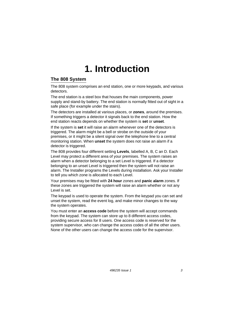# **1. Introduction**

# **The 808 System**

The 808 system comprises an end station, one or more keypads, and various detectors.

The end station is a steel box that houses the main components, power supply and stand-by battery. The end station is normally fitted out of sight in a safe place (for example under the stairs).

The detectors are installed at various places, or **zones**, around the premises. If something triggers a detector it signals back to the end station. How the end station reacts depends on whether the system is **set** or **unset**.

If the system is **set** it will raise an alarm whenever one of the detectors is triggered. The alarm might be a bell or strobe on the outside of your premises, or it might be a silent signal over the telephone line to a central monitoring station. When **unset** the system does not raise an alarm if a detector is triggered.

The 808 provides four different setting **Levels**, labelled A, B, C an D. Each Level may protect a different area of your premises. The system raises an alarm when a detector belonging to a set Level is triggered. If a detector belonging to an unset Level is triggered then the system will not raise an alarm. The Installer programs the Levels during installation. Ask your Installer to tell you which zone is allocated to each Level.

Your premises may be fitted with **24 hour** zones and **panic alarm** zones. If these zones are triggered the system will raise an alarm whether or not any Level is set.

The keypad is used to operate the system. From the keypad you can set and unset the system, read the event log, and make minor changes to the way the system operates.

You must enter an **access code** before the system will accept commands from the keypad. The system can store up to 8 different access codes, providing secure access for 8 users. One access code is reserved for the system supervisor, who can change the access codes of all the other users. None of the other users can change the access code for the supervisor.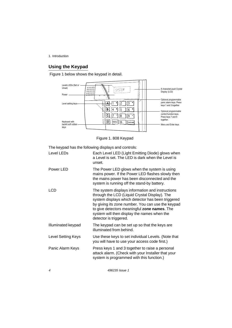1. Introduction

# **Using the Keypad**

Figure 1 below shows the keypad in detail.



Figure 1.808 Keypad

The keypad has the following displays and controls:

| Level LEDs         | Each Level LED (Light Emitting Diode) glows when<br>a Level is set. The LED is dark when the Level is<br>unset.                                                                                                                                                                                                                      |
|--------------------|--------------------------------------------------------------------------------------------------------------------------------------------------------------------------------------------------------------------------------------------------------------------------------------------------------------------------------------|
| Power LED          | The Power LED glows when the system is using<br>mains power. If the Power LED flashes slowly then<br>the mains power has been disconnected and the<br>system is running off the stand-by battery.                                                                                                                                    |
| LCD                | The system displays information and instructions<br>through the LCD (Liquid Crystal Display). The<br>system displays which detector has been triggered<br>by giving its zone number. You can use the keypad<br>to give detectors meaningful zone names. The<br>system will then display the names when the<br>detector is triggered. |
| Illuminated keypad | The keypad can be set up so that the keys are<br>illuminated from behind.                                                                                                                                                                                                                                                            |
| Level Setting Keys | Use these keys to set individual Levels. (Note that<br>you will have to use your access code first.)                                                                                                                                                                                                                                 |
| Panic Alarm Keys   | Press keys 1 and 3 together to raise a personal<br>attack alarm. (Check with your Installer that your<br>system is programmed with this function.)                                                                                                                                                                                   |

496235 Issue 1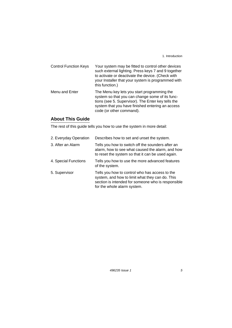1. Introduction

Control Function Keys Your system may be fitted to control other devices such external lighting. Press keys 7 and 9 together to activate or deactivate the device. (Check with your Installer that your system is programmed with this function.) Menu and Enter The Menu key lets you start programming the system so that you can change some of its functions (see 5. Supervisor). The Enter key tells the system that you have finished entering an access

code (or other command).

### **About This Guide**

The rest of this guide tells you how to use the system in more detail:

| 2. Everyday Operation | Describes how to set and unset the system.                                                                                                                                             |
|-----------------------|----------------------------------------------------------------------------------------------------------------------------------------------------------------------------------------|
| 3. After an Alarm     | Tells you how to switch off the sounders after an<br>alarm, how to see what caused the alarm, and how<br>to reset the system so that it can be used again.                             |
| 4. Special Functions  | Tells you how to use the more advanced features<br>of the system.                                                                                                                      |
| 5. Supervisor         | Tells you how to control who has access to the<br>system, and how to limit what they can do. This<br>section is intended for someone who is responsible<br>for the whole alarm system. |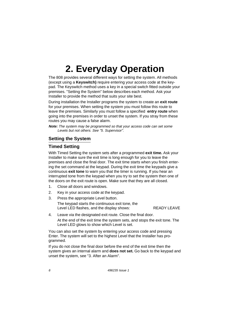The 808 provides several different ways for setting the system. All methods (except using a **Keyswitch)** require entering your access code at the keypad. The Keyswitch method uses a key in a special switch fitted outside your premises. "Setting the System" below describes each method. Ask your Installer to provide the method that suits your site best.

During installation the Installer programs the system to create an **exit route**  for your premises. When setting the system you must follow this route to leave the premises. Similarly you must follow a specified **entry route** when going into the premises in order to unset the system. If you stray from these routes you may cause a false alarm.

**Note:** The system may be programmed so that your access code can set some Levels but not others. See "5. Supervisor".

# **Setting the System**

# **Timed Setting**

With Timed Setting the system sets after a programmed **exit time.** Ask your Installer to make sure the exit time is long enough for you to leave the premises and close the final door. The exit time starts when you finish entering the set command at the keypad. During the exit time the keypads give a continuous **exit tone** to warn you that the timer is running. If you hear an interrupted tone from the keypad when you try to set the system then one of the doors on the exit route is open. Make sure that they are all closed.

- 1. Close all doors and windows.
- 2. Key in your access code at the keypad.
- 3. Press the appropriate Level button. The keypad starts the continuous exit tone, the Level LED flashes, and the display shows: READY LEAVE
- 4. Leave via the designated exit route. Close the final door. At the end of the exit time the system sets, and stops the exit tone. The Level LED glows to show which Level is set.

You can also set the system by entering your access code and pressing Enter. The system will set to the highest Level that the Installer has programmed.

If you do not close the final door before the end of the exit time then the system gives an internal alarm and **does not set.** Go back to the keypad and unset the system, see "3. After an Alarm".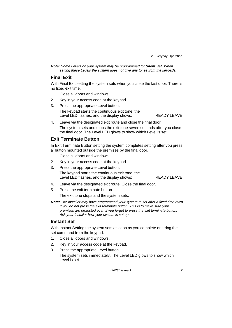**Note:** Some Levels on your system may be programmed for **Silent Set**. When setting these Levels the system does not give any tones from the keypads.

### **Final Exit**

With Final Exit setting the system sets when you close the last door. There is no fixed exit time.

- 1. Close all doors and windows.
- 2. Key in your access code at the keypad.
- 3. Press the appropriate Level button. The keypad starts the continuous exit tone, the Level LED flashes, and the display shows: READY LEAVE

4. Leave via the designated exit route and close the final door. The system sets and stops the exit tone seven seconds after you close the final door. The Level LED glows to show which Level is set.

# **Exit Terminate Button**

In Exit Terminate Button setting the system completes setting after you press a button mounted outside the premises by the final door.

- 1. Close all doors and windows.
- 2. Key in your access code at the keypad.
- 3. Press the appropriate Level button. The keypad starts the continuous exit tone, the Level LED flashes, and the display shows: READY LEAVE

- 4. Leave via the designated exit route. Close the final door.
- 5. Press the exit terminate button.

The exit tone stops and the system sets.

**Note:** The Installer may have programmed your system to set after a fixed time even if you do not press the exit terminate button. This is to make sure your premises are protected even if you forget to press the exit terminate button. Ask your Installer how your system is set up.

# **Instant Set**

With Instant Setting the system sets as soon as you complete entering the set command from the keypad.

- 1. Close all doors and windows.
- 2. Key in your access code at the keypad.
- 3. Press the appropriate Level button.

The system sets immediately. The Level LED glows to show which Level is set.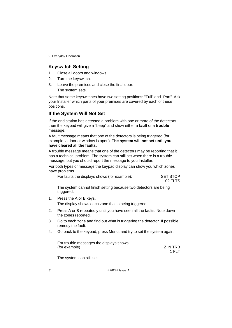#### **Keyswitch Setting**

- 1. Close all doors and windows.
- 2. Turn the keyswitch.
- 3. Leave the premises and close the final door. The system sets.

Note that some keyswitches have two setting positions: "Full" and "Part". Ask your Installer which parts of your premises are covered by each of these positions.

# **If the System Will Not Set**

If the end station has detected a problem with one or more of the detectors then the keypad will give a "beep" and show either a **fault** or a **trouble**  message.

A fault message means that one of the detectors is being triggered (for example, a door or window is open). **The system will not set until you have cleared all the faults.** 

A trouble message means that one of the detectors may be reporting that it has a technical problem. The system can still set when there is a trouble message, but you should report the message to you Installer.

For both types of message the keypad display can show you which zones have problems.

| For faults the displays shows (for example): | <b>SET STOP</b> |
|----------------------------------------------|-----------------|
|                                              | 02 FLTS         |

The system cannot finish setting because two detectors are being triggered.

- 1. Press the A or B keys. The display shows each zone that is being triggered.
- 2. Press A or B repeatedly until you have seen all the faults. Note down the zones reported.
- 3. Go to each zone and find out what is triggering the detector. If possible remedy the fault.
- 4. Go back to the keypad, press Menu, and try to set the system again.

| For trouble messages the displays shows |          |
|-----------------------------------------|----------|
| (for example)                           | Z IN TRB |
|                                         | 1 FLT    |

The system can still set.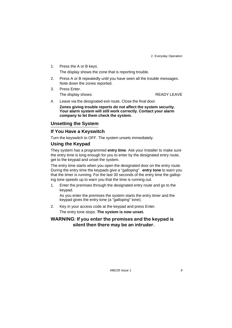- $1<sub>1</sub>$ Press the A or B keys. The display shows the zone that is reporting trouble.
- $2.$ Press A or B repeatedly until you have seen all the trouble messages. Note down the zones reported.
- Press Enter.  $\mathcal{R}$ The display shows:

**READY LEAVE** 

- Leave via the designated exit route. Close the final door. 4.
	- Zones giving trouble reports do not affect the system security. Your alarm system will still work correctly. Contact your alarm company to let them check the system.

#### **Unsetting the System**

#### If You Have a Keyswitch

Turn the keyswitch to OFF. The system unsets immediately.

#### **Using the Keypad**

They system has a programmed entry time. Ask your Installer to make sure the entry time is long enough for you to enter by the designated entry route, get to the keypad and unset the system.

The entry time starts when you open the designated door on the entry route. During the entry time the keypads give a "galloping" entry tone to warn you that the timer is running. For the last 30 seconds of the entry time the galloping tone speeds up to warn you that the time is running out.

Enter the premises through the designated entry route and go to the  $\overline{1}$ keypad.

As you enter the premises the system starts the entry timer and the keypad gives the entry tone (a "galloping" tone).

Key in your access code at the keypad and press Enter.  $2.$ The entry tone stops. The system is now unset.

# WARNING: If you enter the premises and the keypad is silent then there may be an intruder.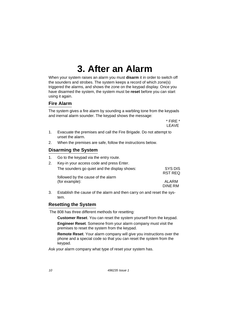# **3. After an Alarm**

When your system raises an alarm you must **disarm** it in order to switch off the sounders and strobes. The system keeps a record of which zone(s) triggered the alarms, and shows the zone on the keypad display. Once you have disarmed the system, the system must be **reset** before you can start using it again.

#### **Fire Alarm**

The system gives a fire alarm by sounding a warbling tone from the keypads and inernal alarm sounder. The keypad shows the message:

> \* FIRE \* LEAVE

- 1. Evacuate the premises and call the Fire Brigade. Do not attempt to unset the alarm.
- 2. When the premises are safe, follow the instructions below.

# **Disarming the System**

1. Go to the keypad via the entry route.

| Key-in your access code and press Enter.     |                    |
|----------------------------------------------|--------------------|
| The sounders go quiet and the display shows: | SYS DIS<br>RST REQ |
| followed by the cause of the alarm           |                    |
| (for example):                               | ALARM<br>DINE RM   |

3. Establish the cause of the alarm and then carry on and reset the system.

#### **Resetting the System**

The 808 has three different methods for resetting:

**Customer Reset**. You can reset the system yourself from the keypad.

**Engineer Reset**. Someone from your alarm company must visit the premises to reset the system from the keypad.

**Remote Reset**. Your alarm company will give you instructions over the phone and a special code so that you can reset the system from the keypad.

Ask your alarm company what type of reset your system has.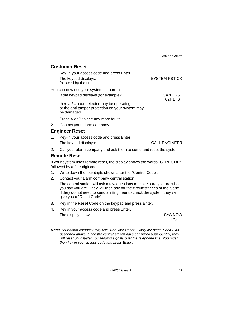3. After an Alarm

CANT RST 02 FLTS

#### **Customer Reset**

| Key-in your access code and press Enter.      |                      |
|-----------------------------------------------|----------------------|
| The keypad displays:<br>followed by the time. | <b>SYSTEM RST OK</b> |
| You can now use your system as normal.        |                      |

If the keypad displays (for example):

then a 24 hour detector may be operating, or the anti tamper protection on your system may be damaged.

- 1. Press A or B to see any more faults.
- 2. Contact your alarm company.

#### **Engineer Reset**

- 1. Key-in your access code and press Enter. The keypad displays: CALL ENGINEER
- 2. Call your alarm company and ask them to come and reset the system.

#### **Remote Reset**

If your system uses remote reset, the display shows the words "CTRL CDE" followed by a four digit code.

- 1. Write down the four digits shown after the "Control Code".
- 2. Contact your alarm company central station.

The central station will ask a few questions to make sure you are who you say you are. They will then ask for the circumstances of the alarm. If they do not need to send an Engineer to check the system they will give you a "Reset Code".

- 3. Key in the Reset Code on the keypad and press Enter.
- 4. Key in your access code and press Enter. The display shows: SYS NOW

RST

**Note:** Your alarm company may use "RedCare Reset". Carry out steps 1 and 2 as described above. Once the central station have confirmed your identity, they will reset your system by sending signals over the telephone line. You must then key in your access code and press Enter .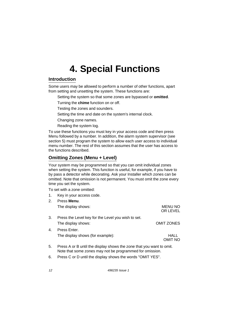# **Introduction**

Some users may be allowed to perform a number of other functions, apart from setting and unsetting the system. These functions are:

- Setting the system so that some zones are bypassed or **omitted**.
- Turning the **chime** function on or off.
- Testing the zones and sounders.
- Setting the time and date on the system's internal clock.
- Changing zone names.
- Reading the system log.

To use these functions you must key in your access code and then press Menu followed by a number. In addition, the alarm system supervisor (see section 5) must program the system to allow each user access to individual menu number. The rest of this section assumes that the user has access to the functions described.

# **Omitting Zones (Menu + Level)**

Your system may be programmed so that you can omit individual zones when setting the system. This function is useful, for example, if you have to by pass a detector while decorating. Ask your Installer which zones can be omitted. Note that omission is not permanent. You must omit the zone every time you set the system.

To set with a zone omitted:

| 1. | Key in your access code.                                             |                            |
|----|----------------------------------------------------------------------|----------------------------|
| 2. | Press Menu.                                                          |                            |
|    | The display shows:                                                   | <b>MENU NO</b><br>OR LEVEL |
| 3. | Press the Level key for the Level you wish to set.                   |                            |
|    | The display shows:                                                   | <b>OMIT ZONES</b>          |
| 4. | Press Enter.                                                         |                            |
|    | The display shows (for example):                                     | HALL<br>OMIT NO            |
| 5. | Press A or B until the display shows the zone that you want to omit. |                            |

Note that some zones may not be programmed for omission. 6. Press C or D until the display shows the words "OMIT YES".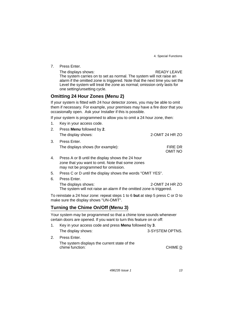7. Press Enter.

#### The displays shows: The displays shows:

The system carries on to set as normal. The system will not raise an alarm if the omitted zone is triggered. Note that the next time you set the Level the system will treat the zone as normal; omission only lasts for one setting/unsetting cycle.

# **Omitting 24 Hour Zones (Menu 2)**

If your system is fitted with 24 hour detector zones, you may be able to omit them if necessary. For example, your premises may have a fire door that you occasionally open. Ask your Installer if this is possible.

If your system is programmed to allow you to omit a 24 hour zone, then:

1. Key in your access code.

| 2. | Press <b>Menu</b> followed by 2.  |                    |
|----|-----------------------------------|--------------------|
|    | The display shows:                | 2-OMIT 24 HR ZO    |
| 3. | Press Enter.                      |                    |
|    | The displays shows (for example): | FIRE DR<br>OMIT NO |

- 4. Press A or B until the display shows the 24 hour zone that you want to omit. Note that some zones may not be programmed for omission.
- 5. Press C or D until the display shows the words "OMIT YES".
- 6. Press Enter.

The displays shows: 2-OMIT 24 HR ZO The system will not raise an alarm if the omitted zone is triggered.

To reinstate a 24 hour zone: repeat steps 1 to 6 **but** at step 5 press C or D to make sure the display shows "UN-OMIT".

# **Turning the Chime On/Off (Menu 3)**

Your system may be programmed so that a chime tone sounds whenever certain doors are opened. If you want to turn this feature on or off:

|    | Key in your access code and press <b>Menu</b> followed by 3.    |                 |  |
|----|-----------------------------------------------------------------|-----------------|--|
|    | The display shows:                                              | 3-SYSTEM OPTNS. |  |
| 2. | Press Enter.                                                    |                 |  |
|    | The system displays the current state of the<br>chime function: | CHIME D         |  |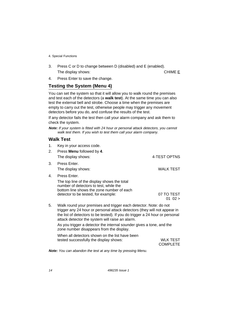3. Press C or D to change between D (disabled) and E (enabled). The display shows: CHIME E

4. Press Enter to save the change.

# **Testing the System (Menu 4)**

You can set the system so that it will allow you to walk round the premises and test each of the detectors (a **walk test**). At the same time you can also test the external bell and strobe. Choose a time when the premises are empty to carry out the test, otherwise people may trigger any movement detectors before you do, and confuse the results of the test.

If any detector fails the test then call your alarm company and ask them to check the system.

**Note:** If your system is fitted with 24 hour or personal attack detectors, you cannot walk test them. If you wish to test them call your alarm company.

#### **Walk Test**

| 1.<br>2. | Key in your access code.<br>Press Menu followed by 4.                                                                                                                                                                                                                            |                           |
|----------|----------------------------------------------------------------------------------------------------------------------------------------------------------------------------------------------------------------------------------------------------------------------------------|---------------------------|
|          | The display shows:                                                                                                                                                                                                                                                               | 4-TEST OPTNS              |
| 3.       | Press Enter.<br>The display shows:                                                                                                                                                                                                                                               | <b>WALK TEST</b>          |
| 4.       | Press Enter.<br>The top line of the display shows the total<br>number of detectors to test, while the<br>bottom line shows the zone number of each<br>detector to be tested, for example:                                                                                        | 07 TO TEST<br>$01 \t02 >$ |
| 5.       | Walk round your premises and trigger each detector. Note: do not<br>trigger any 24 hour or personal attack detectors (they will not appear in<br>the list of detectors to be tested). If you do trigger a 24 hour or personal<br>attack detector the system will raise an alarm. |                           |

As you trigger a detector the internal sounder gives a tone, and the zone number disappears from the display.

When all detectors shown on the list have been tested successfully the display shows: WLK TEST COMPLETE

**Note:** You can abandon the test at any time by pressing Menu.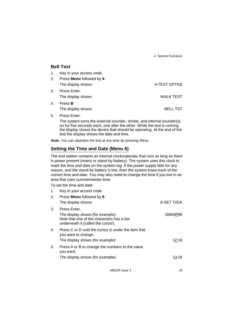15

#### **Bell Test**

1. Key in your access code.

|    | 2. Press <b>Menu</b> followed by <b>4</b> . |              |
|----|---------------------------------------------|--------------|
|    | The display shows:                          | 4-TEST OPTNS |
| 3. | Press Enter.                                |              |
|    | The display shows:                          | WALK TEST    |
| 4. | Press <b>B</b>                              |              |

The display shows: BELL TST

5. Press Enter.

The system turns the external sounder, strobe, and internal sounder(s) on for five seconds each, one after the other. While the test is running the display shows the device that should be operating. At the end of the test the display shows the date and time.

**Note:** You can abandon the test at any time by pressing Menu.

# **Setting the Time and Date (Menu 6)**

The end station contains an internal clock/calendar that runs as long as there is power present (mains or stand-by battery). The system uses this clock to mark the time and date on the system log. If the power supply fails for any reason, and the stand-by battery is low, then the system loses track of the correct time and date. You may also need to change the time if you live in an area that uses summer/winter time.

To set the time and date:

| Key in your access code.                                                                                            |                     |
|---------------------------------------------------------------------------------------------------------------------|---------------------|
| Press <b>Menu</b> followed by 6.                                                                                    |                     |
| The display shows:                                                                                                  | 6-SET TI/DA         |
| Press Enter.                                                                                                        |                     |
| The display shows (for example):<br>Note that one of the characters has a bar<br>underneath it (called the cursor). | 26MAR96             |
| Press C or D until the cursor is under the item that                                                                |                     |
| The display shows (for example):                                                                                    | 12:18               |
| Press A or B to change the numbers to the value<br>you want.                                                        |                     |
| The display shows (for example):                                                                                    | 13:18               |
|                                                                                                                     | you want to change. |

496235 Issue 1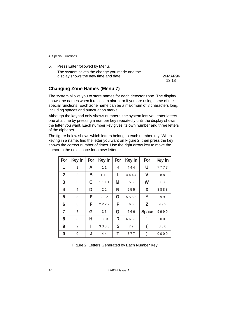6. Press Enter followed by Menu. The system saves the change you made and the display shows the new time and date: 26MAR96

13:18

# **Changing Zone Names (Menu 7)**

The system allows you to store names for each detector zone. The display shows the names when it raises an alarm, or if you are using some of the special functions. Each zone name can be a maximum of 8 characters long, including spaces and punctuation marks.

Although the keypad only shows numbers, the system lets you enter letters one at a time by pressing a number key repeatedly until the display shows the letter you want. Each number key gives its own number and three letters of the alphabet.

The figure below shows which letters belong to each number key. When keying in a name, find the letter you want on Figure 2, then press the key shown the correct number of times. Use the right arrow key to move the cursor to the next space for a new letter.

| For            | Key in         | For | Key in | For | Key in | For          | Key in         |
|----------------|----------------|-----|--------|-----|--------|--------------|----------------|
| 1              | 1              | A   | 11     | K   | 444    | U            | 7777           |
| $\overline{2}$ | 2              | В   | 111    | L   | 4444   | ۷            | 88             |
| 3              | 3              | C   | 1111   | M   | 55     | W            | 888            |
| 4              | 4              | D   | 22     | N   | 555    | X            | 8888           |
| 5              | 5              | Е   | 222    | O   | 5555   | Y            | 99             |
| 6              | 6              | F   | 2222   | P   | 66     | Z            | 999            |
| $\overline{7}$ | $\overline{7}$ | G   | 33     | Q   | 666    | <b>Space</b> | 9999           |
| 8              | 8              | н   | 333    | R   | 6666   | ٠            | 0 <sub>0</sub> |
| 9              | 9              | ı   | 3333   | S   | 77     |              | 000            |
| 0              | $\mathbf 0$    | J   | 44     | Т   | 777    |              | 0000           |

| Figure 2. Letters Generated by Each Number Key |
|------------------------------------------------|
|------------------------------------------------|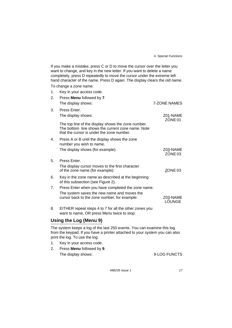If you make a mistake, press C or D to move the cursor over the letter you want to change, and key in the new letter. If you want to delete a name completely, press D repeatedly to move the cursor under the extreme left hand character of the name. Press D again. The display clears the old name.

To change a zone name:

| 1. | Key in your access code.                                                                                                                             |                                |
|----|------------------------------------------------------------------------------------------------------------------------------------------------------|--------------------------------|
| 2. | Press Menu followed by 7.                                                                                                                            |                                |
|    | The display shows:                                                                                                                                   | 7-ZONE NAMES                   |
| 3. | Press Enter.                                                                                                                                         |                                |
|    | The display shows:                                                                                                                                   | Z01-NAME<br>ZONE <sub>01</sub> |
|    | The top line of the display shows the zone number.<br>The bottom line shows the current zone name. Note<br>that the cursor is under the zone number. |                                |
| 4. | Press A or B until the display shows the zone<br>number you wish to name.                                                                            |                                |
|    | The display shows (for example):                                                                                                                     | Z03-NAME<br>ZONE 03            |
| 5. | Press Enter.                                                                                                                                         |                                |
|    | The display cursor moves to the first character<br>of the zone name (for example):                                                                   | ZONE 03                        |
| 6. | Key in the zone name as described at the beginning<br>of this subsection (see Figure 2).                                                             |                                |
| 7. | Press Enter when you have completed the zone name.                                                                                                   |                                |
|    | The system saves the new name and moves the<br>cursor back to the zone number, for example:                                                          | Z03-NAME<br><b>LOUNGE</b>      |
| 8. | EITHER repeat steps 4 to 7 for all the other zones you<br>want to name, OR press Menu twice to stop.                                                 |                                |
|    | Using the Log (Menu 9)                                                                                                                               |                                |

The system keeps a log of the last 250 events. You can examine this log from the keypad. If you have a printer attached to your system you can also print the log. To use the log:

- 1. Key in your access code.
- 2. Press **Menu** followed by **9**. The display shows:  $9-LOG$  FUNCTS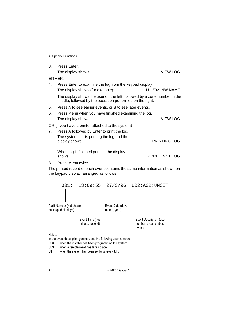| 3.         | Press Enter.                                                                                                                          |                       |  |  |  |  |
|------------|---------------------------------------------------------------------------------------------------------------------------------------|-----------------------|--|--|--|--|
|            | The display shows:                                                                                                                    | <b>VIEW LOG</b>       |  |  |  |  |
| $E$ ITHER: |                                                                                                                                       |                       |  |  |  |  |
| 4.         | Press Enter to examine the log from the keypad display.                                                                               |                       |  |  |  |  |
|            | The display shows (for example):                                                                                                      | U1-Z02- NW NAME       |  |  |  |  |
|            | The display shows the user on the left, followed by a zone number in the<br>middle, followed by the operation performed on the right. |                       |  |  |  |  |
| 5.         | Press A to see earlier events, or B to see later events.                                                                              |                       |  |  |  |  |
| 6.         | Press Menu when you have finished examining the log.                                                                                  |                       |  |  |  |  |
|            | The display shows:                                                                                                                    | <b>VIEW LOG</b>       |  |  |  |  |
|            | OR (if you have a printer attached to the system)                                                                                     |                       |  |  |  |  |
| 7.         | Press A followed by Enter to print the log.                                                                                           |                       |  |  |  |  |
|            | The system starts printing the log and the<br>display shows:                                                                          | <b>PRINTING LOG</b>   |  |  |  |  |
|            | When log is finished printing the display<br>shows:                                                                                   | <b>PRINT EVNT LOG</b> |  |  |  |  |
| 8.         | Press Menu twice.                                                                                                                     |                       |  |  |  |  |
|            | The printed record of each event contains the same information as shown on<br>the keypad display, arranged as follows:                |                       |  |  |  |  |



Notes:

In the event description you may see the following user numbers:

**U00** when the installer has been programming the system

U09 when a remote reset has taken place

U11 when the system has been set by a keyswitch.

496235 Issue 1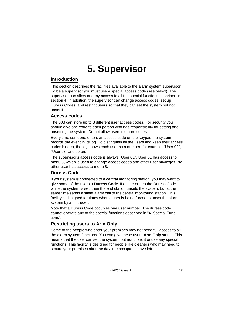# **Introduction**

This section describes the facilities available to the alarm system supervisor. To be a supervisor you must use a special access code (see below). The supervisor can allow or deny access to all the special functions described in section 4. In addition, the supervisor can change access codes, set up Duress Codes, and restrict users so that they can set the system but not unset it.

#### **Access codes**

The 808 can store up to 8 different user access codes. For security you should give one code to each person who has responsibility for setting and unsetting the system. Do not allow users to share codes.

Every time someone enters an access code on the keypad the system records the event in its log. To distinguish all the users and keep their access codes hidden, the log shows each user as a number, for example "User 02", "User 03" and so on.

The supervisor's access code is always "User 01". User 01 has access to menu 8, which is used to change access codes and other user privileges. No other user has access to menu 8.

# **Duress Code**

If your system is connected to a central monitoring station, you may want to give some of the users a **Duress Code**. If a user enters the Duress Code while the system is set, then the end station unsets the system, but at the same time sends a silent alarm call to the central monitoring station. This facility is designed for times when a user is being forced to unset the alarm system by an intruder.

Note that a Duress Code occupies one user number. The duress code cannot operate any of the special functions described in "4. Special Functions".

# **Restricting users to Arm Only**

Some of the people who enter your premises may not need full access to all the alarm system functions. You can give these users **Arm Only** status. This means that the user can set the system, but not unset it or use any special functions. This facility is designed for people like cleaners who may need to secure your premises after the daytime occupants have left.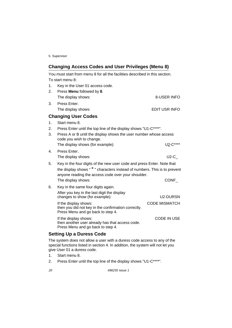# **Changing Access Codes and User Privileges (Menu 8)**

You must start from menu 8 for all the facilities described in this section. To start menu 8: 1. Key in the User 01 access code.

| 2.          | Press Menu followed by 8.                                         |               |
|-------------|-------------------------------------------------------------------|---------------|
|             | The display shows:                                                | 8-USER INFO   |
| 3.          | Press Enter.                                                      |               |
|             | The display shows:                                                | EDIT USR INFO |
|             | <b>Changing User Codes</b>                                        |               |
| $1_{\cdot}$ | Start menu 8.                                                     |               |
| 2.          | Press Enter until the top line of the display shows "U1-C****".   |               |
| 3.          | Press A or B until the display shows the user number whose access |               |

- code you wish to change. The display shows (for example):  $U_2-C^{***}$
- 4. Press Enter. The display shows: U2-C\_ 5. Key in the four digits of the new user code and press Enter. Note that
- the display shows " \* " characters instead of numbers. This is to prevent anyone reading the access code over your shoulder. The display shows: 6. Key in the same four digits again. After you key in the last digit the display changes to show (for example): CONF\_ U2-DURSN CODE MISMATCH

If the display shows: then you did not key in the confirmation correctly. Press Menu and go back to step 4.

If the display shows: then another user already has that access code. Press Menu and go back to step 4. CODE IN USE

# **Setting Up a Duress Code**

The system does not allow a user with a duress code access to any of the special functions listed in section 4. In addition, the system will not let you give User 01 a duress code.

- 1. Start menu 8.
- 2. Press Enter until the top line of the display shows "U1-C\*\*\*\*".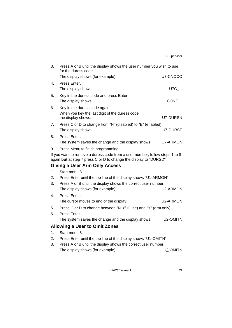| 3. | Press A or B until the display shows the user number you wish to use<br>for the duress code.                                                      |          |  |  |
|----|---------------------------------------------------------------------------------------------------------------------------------------------------|----------|--|--|
|    | The display shows (for example):                                                                                                                  | U7-CNOCO |  |  |
| 4. | Press Enter.                                                                                                                                      |          |  |  |
|    | The display shows:                                                                                                                                | U7C      |  |  |
| 5. | Key in the duress code and press Enter.                                                                                                           |          |  |  |
|    | The display shows:                                                                                                                                | CONF     |  |  |
| 6. | Key in the duress code again.                                                                                                                     |          |  |  |
|    | When you key the last digit of the duress code<br>the display shows:                                                                              | U7-DURSN |  |  |
| 7. | Press C or D to change from "N" (disabled) to "E" (enabled).                                                                                      |          |  |  |
|    | The display shows:                                                                                                                                | U7-DURSE |  |  |
| 8. | Press Enter.                                                                                                                                      |          |  |  |
|    | The system saves the change and the display shows:                                                                                                | U7-ARMON |  |  |
| 9. | Press Menu to finish programming.                                                                                                                 |          |  |  |
|    | If you want to remove a duress code from a user number, follow steps 1 to 8<br>again but at step 7 press C or D to change the display to "DURSD". |          |  |  |
|    | <b>Giving a User Arm Only Access</b>                                                                                                              |          |  |  |
| 1. | Start menu 8.                                                                                                                                     |          |  |  |
| 2. | Press Enter until the top line of the display shows "U1-ARMON".                                                                                   |          |  |  |
| 3. | Press A or B until the display shows the correct user number.                                                                                     |          |  |  |
|    | The display shows (for example):                                                                                                                  | U2-ARMON |  |  |
| 4. | Press Enter.                                                                                                                                      |          |  |  |
|    | The cursor moves to end of the display:                                                                                                           | U2-ARMON |  |  |
| 5. | Press C or D to change between "N" (full use) and "Y" (arm only).                                                                                 |          |  |  |
| 6. | Press Enter.                                                                                                                                      |          |  |  |
|    | The system saves the change and the display shows:                                                                                                | U2-OMITN |  |  |
|    | <b>Allowing a User to Omit Zones</b>                                                                                                              |          |  |  |
| 1. | Start menu 8.                                                                                                                                     |          |  |  |
| 2. | Press Enter until the top line of the display shows "U1-OMITN".                                                                                   |          |  |  |
| 3. | Press A or B until the display shows the correct user number.                                                                                     |          |  |  |
|    | The display shows (for example):                                                                                                                  | U2-OMITN |  |  |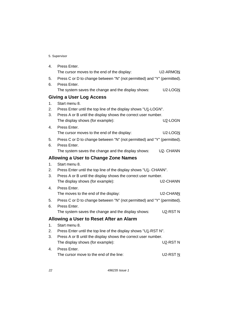| 4. | Press Enter.                                                            |                     |
|----|-------------------------------------------------------------------------|---------------------|
|    | The cursor moves to the end of the display:                             | U2-ARMON            |
| 5. | Press C or D to change between "N" (not permitted) and "Y" (permitted). |                     |
| 6. | Press Enter.                                                            |                     |
|    | The system saves the change and the display shows:                      | $U2$ -LOGN          |
|    | <b>Giving a User Log Access</b>                                         |                     |
| 1. | Start menu 8.                                                           |                     |
| 2. | Press Enter until the top line of the display shows "U1-LOGN".          |                     |
| 3. | Press A or B until the display shows the correct user number.           |                     |
|    | The display shows (for example):                                        | U2-LOGN             |
| 4. | Press Enter.                                                            |                     |
|    | The cursor moves to the end of the display:                             | $U2$ -LOGN          |
| 5. | Press C or D to change between "N" (not permitted) and "Y" (permitted). |                     |
| 6. | Press Enter.                                                            |                     |
|    | The system saves the change and the display shows:                      | U2- CHANN           |
|    | <b>Allowing a User to Change Zone Names</b>                             |                     |
| 1. | Start menu 8.                                                           |                     |
|    |                                                                         |                     |
| 2. | Press Enter until the top line of the display shows "U1- CHANN".        |                     |
| 3. | Press A or B until the display shows the correct user number.           |                     |
|    | The display shows (for example):                                        | U2-CHANN            |
| 4. | Press Enter.                                                            |                     |
|    | The moves to the end of the display:                                    | U2-CHANN            |
| 5. | Press C or D to change between "N" (not permitted) and "Y" (permitted). |                     |
| 6. | Press Enter.                                                            |                     |
|    | The system saves the change and the display shows:                      | U2-RSTN             |
|    | Allowing a User to Reset After an Alarm                                 |                     |
| 1. | Start menu 8.                                                           |                     |
| 2. | Press Enter until the top line of the display shows "U1-RST N".         |                     |
| 3. | Press A or B until the display shows the correct user number.           |                     |
|    | The display shows (for example):                                        | U2-RST <sub>N</sub> |
| 4. | Press Enter.                                                            |                     |
|    | The cursor move to the end of the line:                                 | $U2-RSTN$           |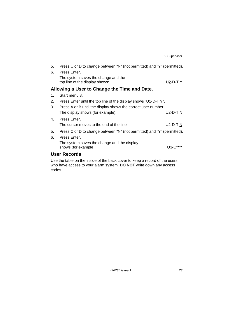| 5.                  | Press C or D to change between "N" (not permitted) and "Y" (permitted).     |            |  |  |  |  |
|---------------------|-----------------------------------------------------------------------------|------------|--|--|--|--|
| 6.                  | Press Enter.                                                                |            |  |  |  |  |
|                     | The system saves the change and the<br>top line of the display shows:       | U2-D-T $Y$ |  |  |  |  |
|                     | Allowing a User to Change the Time and Date.                                |            |  |  |  |  |
| 1.                  | Start menu 8.                                                               |            |  |  |  |  |
| 2.                  | Press Enter until the top line of the display shows "U1-D-T Y".             |            |  |  |  |  |
| 3.                  | Press A or B until the display shows the correct user number.               |            |  |  |  |  |
|                     | The display shows (for example):                                            | U2-D-T N   |  |  |  |  |
| 4.                  | Press Enter.                                                                |            |  |  |  |  |
|                     | The cursor moves to the end of the line:                                    | U2-D-T N   |  |  |  |  |
| 5.                  | Press C or D to change between "N" (not permitted) and "Y" (permitted).     |            |  |  |  |  |
| 6.                  | Press Enter.                                                                |            |  |  |  |  |
|                     | The system saves the change and the display<br>shows (for example):         | U3-C****   |  |  |  |  |
| <b>User Records</b> |                                                                             |            |  |  |  |  |
|                     | Use the table on the inside of the back cover to keep a record of the users |            |  |  |  |  |
|                     | who have access to your alarm system. DO NOT write down any access          |            |  |  |  |  |

codes.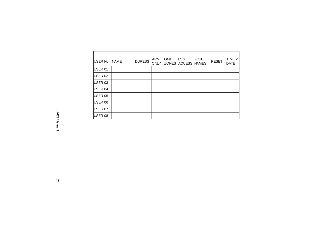| USER No. NAME   | <b>DURESS</b> | ARM<br><b>ONLY</b> | OMIT | LOG<br>ZONES ACCESS NAMES | <b>ZONE</b> | <b>RESET</b> | TIME &<br><b>DATE</b> |
|-----------------|---------------|--------------------|------|---------------------------|-------------|--------------|-----------------------|
| USER 01         |               |                    |      |                           |             |              |                       |
| <b>USER 02</b>  |               |                    |      |                           |             |              |                       |
| <b>IUSER 03</b> |               |                    |      |                           |             |              |                       |
| <b>IUSER 04</b> |               |                    |      |                           |             |              |                       |
| <b>IUSER 05</b> |               |                    |      |                           |             |              |                       |
| USER 06         |               |                    |      |                           |             |              |                       |
| <b>USER 07</b>  |               |                    |      |                           |             |              |                       |
| USER 08         |               |                    |      |                           |             |              |                       |